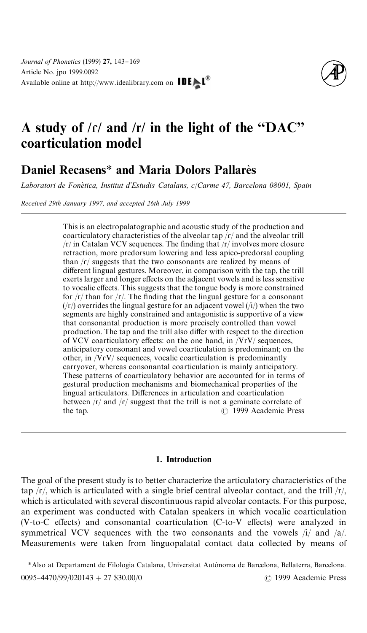

# A study of  $/r/$  and  $/r/$  in the light of the "DAC" coarticulation model

## Daniel Recasens<sup>\*</sup> and Maria Dolors Pallares

*Laboratori de Fone*`*tica, Institut d*+*Estudis Catalans, c*/*Carme 47, Barcelona 08001, Spain*

*Received 29th January 1997, and accepted 26th July 1999*

This is an electropalatographic and acoustic study of the production and coarticulatory characteristics of the alveolar tap  $\sqrt{r}$  and the alveolar trill  $/r/$  in Catalan VCV sequences. The finding that  $/r/$  involves more closure retraction, more predorsum lowering and less apico-predorsal coupling than  $\sqrt{\frac{f}{\sqrt{\pi}}}$  suggests that the two consonants are realized by means of different lingual gestures. Moreover, in comparison with the tap, the trill exerts larger and longer effects on the adjacent vowels and is less sensitive to vocalic effects. This suggests that the tongue body is more constrained for  $/r/$  than for  $/r/$ . The finding that the lingual gesture for a consonant  $(|r\rangle)$  overrides the lingual gesture for an adjacent vowel  $(|i\rangle)$  when the two segments are highly constrained and antagonistic is supportive of a view that consonantal production is more precisely controlled than vowel production. The tap and the trill also differ with respect to the direction of VCV coarticulatory effects: on the one hand, in  $/ViV/$  sequences, anticipatory consonant and vowel coarticulation is predominant; on the other, in /VɾV/ sequences, vocalic coarticulation is predominantly carryover, whereas consonantal coarticulation is mainly anticipatory. These patterns of coarticulatory behavior are accounted for in terms of gestural production mechanisms and biomechanical properties of the lingual articulators. Differences in articulation and coarticulation between  $\frac{r}{\pi}$  and  $\frac{r}{\pi}$  suggest that the trill is not a geminate correlate of the tap. ( 1999 Academic Press

#### 1. Introduction

The goal of the present study is to better characterize the articulatory characteristics of the tap  $\frac{f}{f}$ , which is articulated with a single brief central alveolar contact, and the trill  $\frac{f}{f}$ , which is articulated with several discontinuous rapid alveolar contacts. For this purpose, an experiment was conducted with Catalan speakers in which vocalic coarticulation  $(V-to-C$  effects) and consonantal coarticulation  $(C-to-V)$  effects) were analyzed in symmetrical VCV sequences with the two consonants and the vowels  $/i/$  and  $/a/$ . Measurements were taken from linguopalatal contact data collected by means of

\*Also at Departament de Filologia Catalana, Universitat Autònoma de Barcelona, Bellaterra, Barcelona. 0095-4470/99/020143 + 27 \$30.00/0 ( 1999 Academic Press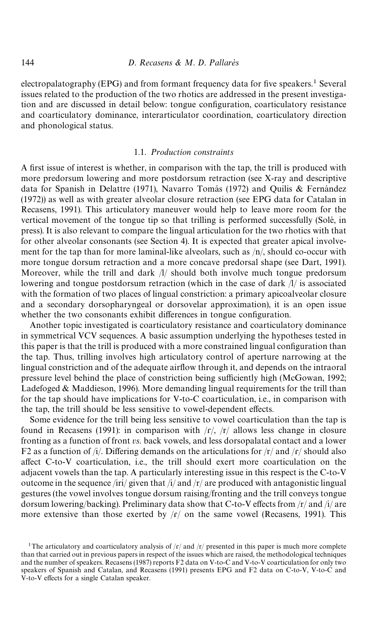electropalatography (EPG) and from formant frequency data for five speakers.<sup>1</sup> Several issues related to the production of the two rhotics are addressed in the present investigation and are discussed in detail below: tongue configuration, coarticulatory resistance and coarticulatory dominance, interarticulator coordination, coarticulatory direction and phonological status.

#### 1.1. *Production constraints*

A first issue of interest is whether, in comparison with the tap, the trill is produced with more predorsum lowering and more postdorsum retraction (see X-ray and descriptive data for Spanish in [Delattre \(1971\),](#page-23-0) Navarro Tomás (1972) and Quilis & Fernández [\(1972\)\)](#page-23-0) as well as with greater alveolar closure retraction (see EPG data for Catalan in [Recasens, 1991\)](#page-23-0). This articulatory maneuver would help to leave more room for the vertical movement of the tongue tip so that trilling is performed successfully (Solé, in [press\)](#page-23-0). It is also relevant to compare the lingual articulation for the two rhotics with that for other alveolar consonants (see [Section 4\)](#page-20-0). It is expected that greater apical involvement for the tap than for more laminal-like alveolars, such as  $/n/$ , should co-occur with more tongue dorsum retraction and a more concave predorsal shape (see [Dart, 1991\)](#page-23-0). Moreover, while the trill and dark  $\Lambda$ / should both involve much tongue predorsum lowering and tongue postdorsum retraction (which in the case of dark /l/ is associated with the formation of two places of lingual constriction: a primary apicoalveolar closure and a secondary dorsopharyngeal or dorsovelar approximation), it is an open issue whether the two consonants exhibit differences in tongue configuration.

Another topic investigated is coarticulatory resistance and coarticulatory dominance in symmetrical VCV sequences. A basic assumption underlying the hypotheses tested in this paper is that the trill is produced with a more constrained lingual configuration than the tap. Thus, trilling involves high articulatory control of aperture narrowing at the lingual constriction and of the adequate airflow through it, and depends on the intraoral pressure level behind the place of constriction being sufficiently high [\(McGowan, 1992](#page-23-0); [Ladefoged & Maddieson, 1996\)](#page-23-0). More demanding lingual requirements for the trill than for the tap should have implications for V-to-C coarticulation, i.e., in comparison with the tap, the trill should be less sensitive to vowel-dependent effects.

Some evidence for the trill being less sensitive to vowel coarticulation than the tap is found in [Recasens \(1991\):](#page-23-0) in comparison with  $\frac{\frown}{\frown}$ ,  $\frac{\frown}{\frown}$  allows less change in closure fronting as a function of front *vs*. back vowels, and less dorsopalatal contact and a lower F2 as a function of /i/. Differing demands on the articulations for  $\frac{r}{a}$  and  $\frac{r}{s}$  should also affect C-to-V coarticulation, i.e., the trill should exert more coarticulation on the adjacent vowels than the tap. A particularly interesting issue in this respect is the C-to-V outcome in the sequence /iri/ given that  $\frac{1}{4}$  and  $\frac{1}{r}$  are produced with antagonistic lingual gestures (the vowel involves tongue dorsum raising/fronting and the trill conveys tongue dorsum lowering/backing). Preliminary data show that C-to-V effects from  $\frac{r}{\tan \theta}$  is are more extensive than those exerted by  $\frac{r}{r}$  on the same vowel [\(Recasens, 1991\)](#page-23-0). This

<sup>&</sup>lt;sup>1</sup>The articulatory and coarticulatory analysis of  $/r/$  and  $/r/$  presented in this paper is much more complete than that carried out in previous papers in respect of the issues which are raised, the methodological techniques and the number of speakers. Recasens (1987) reports F2 data on V-to-C and V-to-V coarticulation for only two speakers of Spanish and Catalan, and Recasens (1991) presents EPG and F2 data on C-to-V, V-to-C and V-to-V effects for a single Catalan speaker.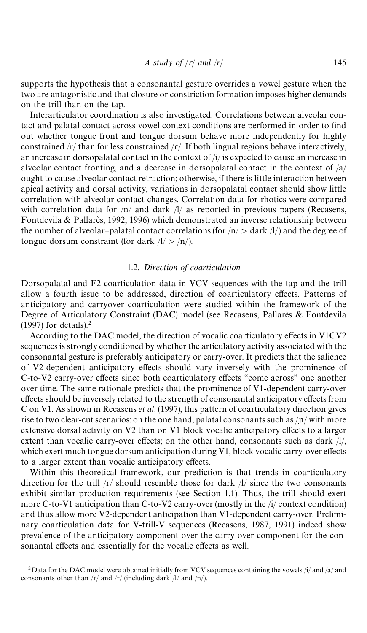*A study of* /ɾ/ *and* /*r*/ 145

supports the hypothesis that a consonantal gesture overrides a vowel gesture when the two are antagonistic and that closure or constriction formation imposes higher demands on the trill than on the tap.

Interarticulator coordination is also investigated. Correlations between alveolar contact and palatal contact across vowel context conditions are performed in order to find out whether tongue front and tongue dorsum behave more independently for highly constrained  $\frac{r}{\tan \theta}$  /r/ than for less constrained  $\frac{r}{\tan \theta}$ . If both lingual regions behave interactively, an increase in dorsopalatal contact in the context of /i/ is expected to cause an increase in alveolar contact fronting, and a decrease in dorsopalatal contact in the context of  $\frac{a}{a}$ ought to cause alveolar contact retraction; otherwise, if there is little interaction between apical activity and dorsal activity, variations in dorsopalatal contact should show little correlation with alveolar contact changes. Correlation data for rhotics were compared with correlation data for  $/n/$  and dark  $/l/$  as reported in previous papers [\(Recasens,](#page-23-0) Fontdevila & Pallares, 1992, 1996) which demonstrated an inverse relationship between the number of alveolar-palatal contact correlations (for  $/n/$   $>$  dark  $/l/$ ) and the degree of tongue dorsum constraint (for dark  $/l$ /n/).

#### 1.2. *Direction of coarticulation*

Dorsopalatal and F2 coarticulation data in VCV sequences with the tap and the trill allow a fourth issue to be addressed, direction of coarticulatory effects. Patterns of anticipatory and carryover coarticulation were studied within the framework of the Degree of Articulatory Constraint (DAC) model (see Recasens, Pallare`s & Fontdevila [\(1997\)](#page-23-0) for details).<sup>2</sup>

According to the DAC model, the direction of vocalic coarticulatory effects in V1CV2 sequences is strongly conditioned by whether the articulatory activity associated with the consonantal gesture is preferably anticipatory or carry-over. It predicts that the salience of V2-dependent anticipatory effects should vary inversely with the prominence of C-to-V2 carry-over effects since both coarticulatory effects "come across" one another over time. The same rationale predicts that the prominence of V1-dependent carry-over effects should be inversely related to the strength of consonantal anticipatory effects from C on V1. As shown in [Recasens](#page-23-0) *et al*. (1997), this pattern of coarticulatory direction gives rise to two clear-cut scenarios: on the one hand, palatal consonants such as  $\frac{1}{p}$  with more extensive dorsal activity on V2 than on V1 block vocalic anticipatory effects to a larger extent than vocalic carry-over effects; on the other hand, consonants such as dark  $//\!$ , which exert much tongue dorsum anticipation during V1, block vocalic carry-over effects to a larger extent than vocalic anticipatory effects.

Within this theoretical framework, our prediction is that trends in coarticulatory direction for the trill  $\frac{r}{r}$  should resemble those for dark  $\frac{1}{r}$  since the two consonants exhibit similar production requirements (see Section 1.1). Thus, the trill should exert more C-to-V1 anticipation than C-to-V2 carry-over (mostly in the /i/ context condition) and thus allow more V2-dependent anticipation than V1-dependent carry-over. Preliminary coarticulation data for V-trill-V sequences [\(Recasens, 1987, 1991\)](#page-23-0) indeed show prevalence of the anticipatory component over the carry-over component for the consonantal effects and essentially for the vocalic effects as well.

<sup>&</sup>lt;sup>2</sup> Data for the DAC model were obtained initially from VCV sequences containing the vowels /i/ and /a/ and consonants other than  $\sqrt{r}$  and  $\sqrt{r}$  (including dark  $\sqrt{l}$  and  $\sqrt{n}$ ).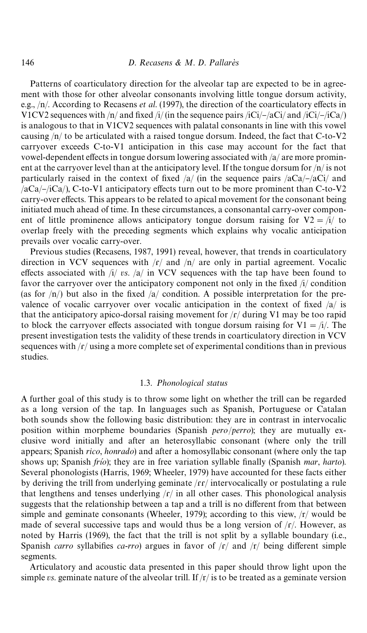Patterns of coarticulatory direction for the alveolar tap are expected to be in agreement with those for other alveolar consonants involving little tongue dorsum activity, e.g.,  $/n/$ . According to [Recasens](#page-23-0) *et al.* (1997), the direction of the coarticulatory effects in V1CV2 sequences with  $/n/$  and fixed  $/i/$  (in the sequence pairs  $/ici/-/aCi/$  and  $/ici/-/ica/$ ) is analogous to that in V1CV2 sequences with palatal consonants in line with this vowel causing /n/ to be articulated with a raised tongue dorsum. Indeed, the fact that C-to-V2 carryover exceeds C-to-V1 anticipation in this case may account for the fact that vowel-dependent effects in tongue dorsum lowering associated with  $/a$  are more prominent at the carryover level than at the anticipatory level. If the tongue dorsum for  $/n/$  is not particularly raised in the context of fixed  $/a$  (in the sequence pairs  $/aCa$  -/aCi/ and  $\sqrt{aCa/-/iCa}}$ , C-to-V1 anticipatory effects turn out to be more prominent than C-to-V2 carry-over effects. This appears to be related to apical movement for the consonant being initiated much ahead of time. In these circumstances, a consonantal carry-over component of little prominence allows anticipatory tongue dorsum raising for  $V2 = i/$  to overlap freely with the preceding segments which explains why vocalic anticipation prevails over vocalic carry-over.

Previous studies [\(Recasens, 1987](#page-23-0), [1991\)](#page-23-0) reveal, however, that trends in coarticulatory direction in VCV sequences with  $\sqrt{r}$  and  $\sqrt{n}$  are only in partial agreement. Vocalic effects associated with  $\frac{1}{r}$  *vs.*  $\frac{1}{a}$  in VCV sequences with the tap have been found to favor the carryover over the anticipatory component not only in the fixed  $\frac{1}{2}$  condition (as for  $/n/$ ) but also in the fixed  $/a/$  condition. A possible interpretation for the prevalence of vocalic carryover over vocalic anticipation in the context of fixed  $\frac{a}{a}$  is that the anticipatory apico-dorsal raising movement for  $\frac{r}{\sqrt{r}}$  during V1 may be too rapid to block the carryover effects associated with tongue dorsum raising for  $V1 = i/$ . The present investigation tests the validity of these trends in coarticulatory direction in VCV sequences with  $\frac{r}{r}$  using a more complete set of experimental conditions than in previous studies.

#### 1.3. *Phonological status*

A further goal of this study is to throw some light on whether the trill can be regarded as a long version of the tap. In languages such as Spanish, Portuguese or Catalan both sounds show the following basic distribution: they are in contrast in intervocalic position within morpheme boundaries (Spanish *pero*/*perro*); they are mutually exclusive word initially and after an heterosyllabic consonant (where only the trill appears; Spanish *rico*, *honrado*) and after a homosyllabic consonant (where only the tap shows up; Spanish *frio*); they are in free variation syllable finally (Spanish *mar*, *harto*). Several phonologists [\(Harris, 1969; Wheeler, 1979\)](#page-23-0) have accounted for these facts either by deriving the trill from underlying geminate /rr/ intervocalically or postulating a rule that lengthens and tenses underlying  $\vert r \vert$  in all other cases. This phonological analysis suggests that the relationship between a tap and a trill is no different from that between simple and geminate consonants [\(Wheeler, 1979\)](#page-23-0); according to this view,  $/r/$  would be made of several successive taps and would thus be a long version of  $\frac{\xi}{r}$ . However, as noted by [Harris \(1969\)](#page-23-0), the fact that the trill is not split by a syllable boundary (i.e., Spanish *carro* syllabifies *ca-rro*) argues in favor of  $\vert f \rangle$  and  $\vert f \rangle$  being different simple segments.

Articulatory and acoustic data presented in this paper should throw light upon the simple *vs*. geminate nature of the alveolar trill. If /r/ is to be treated as a geminate version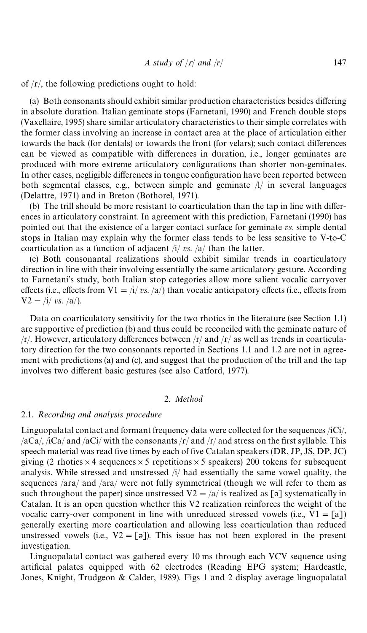of  $/r/$ , the following predictions ought to hold:

(a) Both consonants should exhibit similar production characteristics besides differing in absolute duration. Italian geminate stops [\(Farnetani, 1990\)](#page-23-0) and French double stops [\(Vaxellaire, 1995\)](#page-23-0) share similar articulatory characteristics to their simple correlates with the former class involving an increase in contact area at the place of articulation either towards the back (for dentals) or towards the front (for velars); such contact differences can be viewed as compatible with differences in duration, i.e., longer geminates are produced with more extreme articulatory configurations than shorter non-geminates. In other cases, negligible differences in tongue configuration have been reported between both segmental classes, e.g., between simple and geminate  $\Lambda$  in several languages [\(Delattre, 1971\)](#page-23-0) and in Breton [\(Bothorel, 1971\).](#page-23-0)

 $(b)$  The trill should be more resistant to coarticulation than the tap in line with differences in articulatory constraint. In agreement with this prediction, [Farnetani \(1990\)](#page-23-0) has pointed out that the existence of a larger contact surface for geminate *vs*. simple dental stops in Italian may explain why the former class tends to be less sensitive to V-to-C coarticulation as a function of adjacent /i/ *vs*. /a/ than the latter.

(c) Both consonantal realizations should exhibit similar trends in coarticulatory direction in line with their involving essentially the same articulatory gesture. According to Farnetani's study, both Italian stop categories allow more salient vocalic carryover effects (i.e., effects from  $V1 = i/ vs. /a/$ ) than vocalic anticipatory effects (i.e., effects from  $V2 = i/\nu s$ . /a/).

Data on coarticulatory sensitivity for the two rhotics in the literature (see Section 1.1) are supportive of prediction (b) and thus could be reconciled with the geminate nature of  $/r/$ . However, articulatory differences between  $/r/$  and  $/r/$  as well as trends in coarticulatory direction for the two consonants reported in Sections 1.1 and 1.2 are not in agreement with predictions (a) and (c), and suggest that the production of the trill and the tap involves two different basic gestures (see also [Catford, 1977\)](#page-23-0).

#### 2. *Method*

#### 2.1. *Recording and analysis procedure*

Linguopalatal contact and formant frequency data were collected for the sequences /iCi/,  $\sqrt{aCa}/$ ,  $\sqrt{aCa}/$  and  $\sqrt{aCi}/$  with the consonants  $\sqrt{r}/$  and  $\sqrt{r}/$  and stress on the first syllable. This speech material was read five times by each of five Catalan speakers (DR, JP, JS, DP, JC) giving (2 rhotics  $\times$  4 sequences  $\times$  5 repetitions  $\times$  5 speakers) 200 tokens for subsequent analysis. While stressed and unstressed /i/ had essentially the same vowel quality, the sequences /ara/ and /ara/ were not fully symmetrical (though we will refer to them as such throughout the paper) since unstressed  $V2 = \sqrt{a}/i$  is realized as [ $\sigma$ ] systematically in Catalan. It is an open question whether this V2 realization reinforces the weight of the vocalic carry-over component in line with unreduced stressed vowels (i.e.,  $V1 = [a]$ ) generally exerting more coarticulation and allowing less coarticulation than reduced unstressed vowels (i.e.,  $V2 = \lceil 3 \rceil$ ). This issue has not been explored in the present investigation.

Linguopalatal contact was gathered every 10 ms through each VCV sequence using artificial palates equipped with 62 electrodes (Reading EPG system; [Hardcastle,](#page-23-0) [Jones, Knight, Trudgeon & Calder, 1989\)](#page-23-0). [Figs 1](#page-6-0) and [2](#page-7-0) display average linguopalatal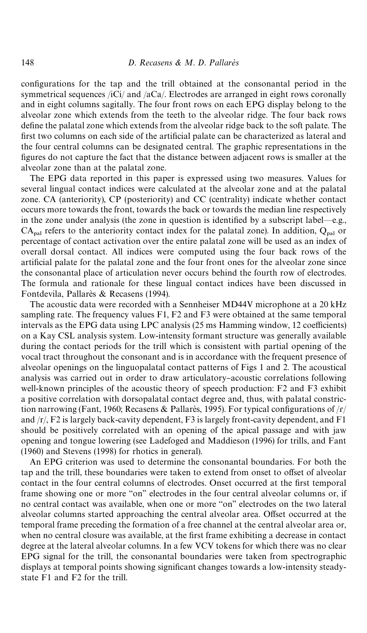configurations for the tap and the trill obtained at the consonantal period in the symmetrical sequences /iCi/ and /aCa/. Electrodes are arranged in eight rows coronally and in eight columns sagitally. The four front rows on each EPG display belong to the alveolar zone which extends from the teeth to the alveolar ridge. The four back rows define the palatal zone which extends from the alveolar ridge back to the soft palate. The first two columns on each side of the artificial palate can be characterized as lateral and the four central columns can be designated central. The graphic representations in the figures do not capture the fact that the distance between adjacent rows is smaller at the alveolar zone than at the palatal zone.

The EPG data reported in this paper is expressed using two measures. Values for several lingual contact indices were calculated at the alveolar zone and at the palatal zone. CA (anteriority), CP (posteriority) and CC (centrality) indicate whether contact occurs more towards the front, towards the back or towards the median line respectively in the zone under analysis (the zone in question is identified by a subscript label—e.g.,  $CA<sub>nal</sub>$  refers to the anteriority contact index for the palatal zone). In addition,  $Q<sub>nal</sub>$  or percentage of contact activation over the entire palatal zone will be used as an index of overall dorsal contact. All indices were computed using the four back rows of the artificial palate for the palatal zone and the four front ones for the alveolar zone since the consonantal place of articulation never occurs behind the fourth row of electrodes. The formula and rationale for these lingual contact indices have been discussed in Fontdevila, Pallarès & Recasens (1994).

The acoustic data were recorded with a Sennheiser MD44V microphone at a 20 kHz sampling rate. The frequency values F1, F2 and F3 were obtained at the same temporal intervals as the EPG data using LPC analysis  $(25 \text{ ms Hamming window}, 12 \text{ coefficients})$ on a Kay CSL analysis system. Low-intensity formant structure was generally available during the contact periods for the trill which is consistent with partial opening of the vocal tract throughout the consonant and is in accordance with the frequent presence of alveolar openings on the linguopalatal contact patterns of [Figs 1](#page-6-0) and [2.](#page-7-0) The acoustical analysis was carried out in order to draw articulatory-acoustic correlations following well-known principles of the acoustic theory of speech production: F2 and F3 exhibit a positive correlation with dorsopalatal contact degree and, thus, with palatal constriction narrowing (Fant, 1960; Recasens & Pallarès, 1995). For typical configurations of  $\Gamma$ and /r/, F2 is largely back-cavity dependent, F3 is largely front-cavity dependent, and F1 should be positively correlated with an opening of the apical passage and with jaw opening and tongue lowering (see [Ladefoged and Maddieson \(1996\)](#page-23-0) for trills, and [Fant](#page-23-0) [\(1960\)](#page-23-0) and [Stevens \(1998\)](#page-23-0) for rhotics in general).

An EPG criterion was used to determine the consonantal boundaries. For both the tap and the trill, these boundaries were taken to extend from onset to offset of alveolar contact in the four central columns of electrodes. Onset occurred at the first temporal frame showing one or more "on" electrodes in the four central alveolar columns or, if no central contact was available, when one or more "on" electrodes on the two lateral alveolar columns started approaching the central alveolar area. Offset occurred at the temporal frame preceding the formation of a free channel at the central alveolar area or, when no central closure was available, at the first frame exhibiting a decrease in contact degree at the lateral alveolar columns. In a few VCV tokens for which there was no clear EPG signal for the trill, the consonantal boundaries were taken from spectrographic displays at temporal points showing significant changes towards a low-intensity steadystate F1 and F2 for the trill.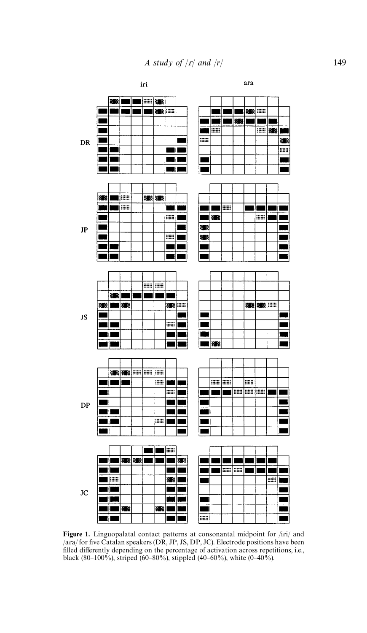<span id="page-6-0"></span>

Figure 1. Linguopalatal contact patterns at consonantal midpoint for /iri/ and  $/$ ara/ for five Catalan speakers (DR, JP, JS, DP, JC). Electrode positions have been filled differently depending on the percentage of activation across repetitions, i.e., black (80-100%), striped (60-80%), stippled (40-60%), white (0-40%).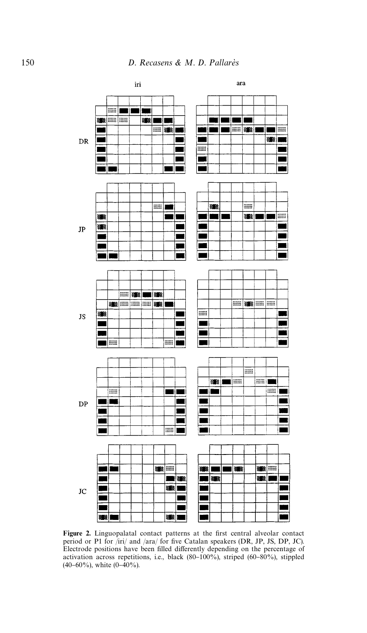<span id="page-7-0"></span>

Figure 2. Linguopalatal contact patterns at the first central alveolar contact period or P1 for /iri/ and /ara/ for five Catalan speakers (DR, JP, JS, DP, JC). Electrode positions have been filled differently depending on the percentage of activation across repetitions, i.e., black  $(80-100\%)$ , striped  $(60-80\%)$ , stippled  $(40-60\%)$ , white  $(0-40\%)$ .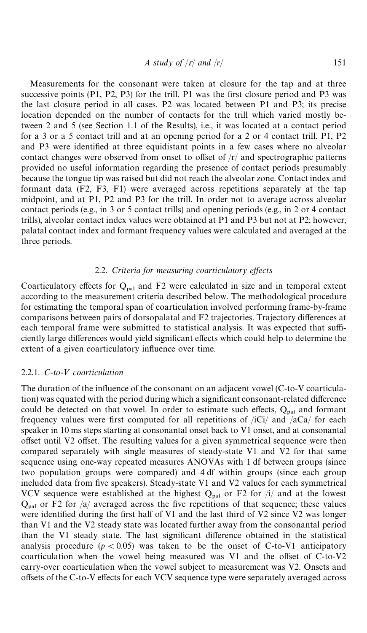$$
A \text{ study of } |r| \text{ and } |r|
$$

Measurements for the consonant were taken at closure for the tap and at three successive points  $(P1, P2, P3)$  for the trill. P1 was the first closure period and P3 was the last closure period in all cases. P2 was located between P1 and P3; its precise location depended on the number of contacts for the trill which varied mostly between 2 and 5 (see Section 1.1 of the Results), i.e., it was located at a contact period for a 3 or a 5 contact trill and at an opening period for a 2 or 4 contact trill. P1, P2 and P3 were identified at three equidistant points in a few cases where no alveolar contact changes were observed from onset to offset of  $/r/$  and spectrographic patterns provided no useful information regarding the presence of contact periods presumably because the tongue tip was raised but did not reach the alveolar zone. Contact index and formant data (F2, F3, F1) were averaged across repetitions separately at the tap midpoint, and at P1, P2 and P3 for the trill. In order not to average across alveolar contact periods (e.g., in 3 or 5 contact trills) and opening periods (e.g., in 2 or 4 contact trills), alveolar contact index values were obtained at P1 and P3 but not at P2; however, palatal contact index and formant frequency values were calculated and averaged at the three periods.

#### 2.2. Criteria for measuring coarticulatory effects

Coarticulatory effects for  $Q_{\text{pal}}$  and F2 were calculated in size and in temporal extent according to the measurement criteria described below. The methodological procedure for estimating the temporal span of coarticulation involved performing frame-by-frame comparisons between pairs of dorsopalatal and F2 trajectories. Trajectory differences at each temporal frame were submitted to statistical analysis. It was expected that sufficiently large differences would yield significant effects which could help to determine the extent of a given coarticulatory influence over time.

#### 2.2.1. *C*-*to*-< *coarticulation*

The duration of the influence of the consonant on an adjacent vowel (C-to-V coarticulation) was equated with the period during which a significant consonant-related difference could be detected on that vowel. In order to estimate such effects,  $Q_{\text{pal}}$  and formant frequency values were first computed for all repetitions of  $/ici$  and  $/aca$  for each speaker in 10 ms steps starting at consonantal onset back to V1 onset, and at consonantal offset until V2 offset. The resulting values for a given symmetrical sequence were then compared separately with single measures of steady-state V1 and V2 for that same sequence using one-way repeated measures ANOVAs with 1 df between groups (since two population groups were compared) and 4 df within groups (since each group included data from five speakers). Steady-state V1 and V2 values for each symmetrical VCV sequence were established at the highest  $Q_{\text{pal}}$  or F2 for /i/ and at the lowest  $Q_{\text{pal}}$  or F2 for /a/ averaged across the five repetitions of that sequence; these values were identified during the first half of V1 and the last third of V2 since V2 was longer than V1 and the V2 steady state was located further away from the consonantal period than the V1 steady state. The last significant difference obtained in the statistical analysis procedure  $(p < 0.05)$  was taken to be the onset of C-to-V1 anticipatory coarticulation when the vowel being measured was  $V1$  and the offset of C-to-V2 carry-over coarticulation when the vowel subject to measurement was V2. Onsets and offsets of the C-to-V effects for each VCV sequence type were separately averaged across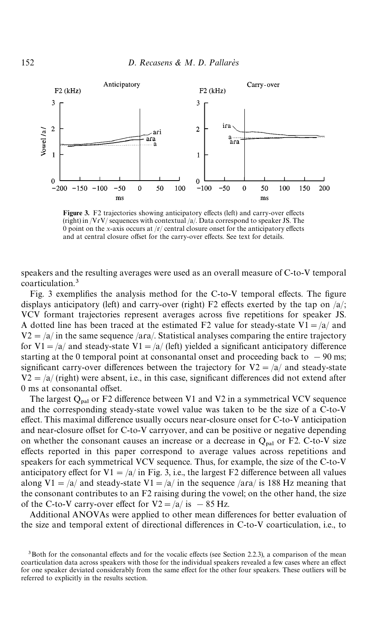<span id="page-9-0"></span>

Figure 3. F2 trajectories showing anticipatory effects (left) and carry-over effects (right) in /VɾV/ sequences with contextual /a/. Data correspond to speaker JS. The 0 point on the *x*-axis occurs at  $/r$  central closure onset for the anticipatory effects and at central closure offset for the carry-over effects. See text for details.

speakers and the resulting averages were used as an overall measure of C-to-V temporal coarticulation.3

Fig. 3 exemplifies the analysis method for the C-to-V temporal effects. The figure displays anticipatory (left) and carry-over (right) F2 effects exerted by the tap on  $\frac{a}{i}$ ; VCV formant trajectories represent averages across five repetitions for speaker JS. A dotted line has been traced at the estimated F2 value for steady-state V1 =  $\frac{a}{a}$  and  $V2 = \sqrt{a}$  in the same sequence  $\sqrt{a}$ ra. Statistical analyses comparing the entire trajectory for V1 =  $\frac{a}{a}$  and steady-state V1 =  $\frac{a}{\text{left}}$  (left) yielded a significant anticipatory difference starting at the 0 temporal point at consonantal onset and proceeding back to  $-90$  ms; significant carry-over differences between the trajectory for  $V2 = \frac{a}{a}$  and steady-state  $V2 = \sqrt{a}$  (right) were absent, i.e., in this case, significant differences did not extend after 0 ms at consonantal offset.

The largest  $Q_{\text{nal}}$  or F2 difference between V1 and V2 in a symmetrical VCV sequence and the corresponding steady-state vowel value was taken to be the size of a C-to-V effect. This maximal difference usually occurs near-closure onset for C-to-V anticipation and near-closure offset for C-to-V carryover, and can be positive or negative depending on whether the consonant causes an increase or a decrease in  $Q_{\text{pal}}$  or F2. C-to-V size effects reported in this paper correspond to average values across repetitions and speakers for each symmetrical VCV sequence. Thus, for example, the size of the C-to-V anticipatory effect for V1 =  $/a$  in Fig. 3, i.e., the largest F2 difference between all values along V1 =  $\alpha$  and steady-state V1 =  $\alpha$  in the sequence /ara/ is 188 Hz meaning that the consonant contributes to an  $F2$  raising during the vowel; on the other hand, the size of the C-to-V carry-over effect for  $V2 = /a/$  is  $- 85$  Hz.

Additional ANOVAs were applied to other mean differences for better evaluation of the size and temporal extent of directional differences in C-to-V coarticulation, i.e., to

 $3$ Both for the consonantal effects and for the vocalic effects (see Section 2.2.3), a comparison of the mean coarticulation data across speakers with those for the individual speakers revealed a few cases where an effect for one speaker deviated considerably from the same effect for the other four speakers. These outliers will be referred to explicitly in the results section.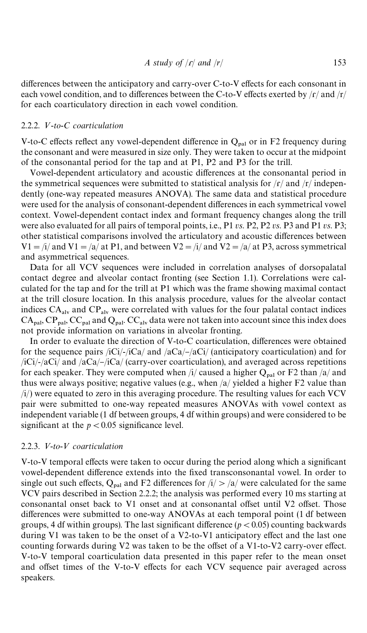differences between the anticipatory and carry-over C-to-V effects for each consonant in each vowel condition, and to differences between the C-to-V effects exerted by  $\frac{r}{r}$  and  $\frac{r}{r}$ for each coarticulatory direction in each vowel condition.

#### 2.2.2. V-to-C coarticulation

V-to-C effects reflect any vowel-dependent difference in  $Q_{\text{pal}}$  or in F2 frequency during the consonant and were measured in size only. They were taken to occur at the midpoint of the consonantal period for the tap and at P1, P2 and P3 for the trill.

Vowel-dependent articulatory and acoustic differences at the consonantal period in the symmetrical sequences were submitted to statistical analysis for  $\frac{r}{r}$  and  $\frac{r}{r}$  independently (one-way repeated measures ANOVA). The same data and statistical procedure were used for the analysis of consonant-dependent differences in each symmetrical vowel context. Vowel-dependent contact index and formant frequency changes along the trill were also evaluated for all pairs of temporal points, i.e., P1 *vs*. P2, P2 *vs*. P3 and P1 *vs*. P3; other statistical comparisons involved the articulatory and acoustic differences between  $V1 = i/$  and  $V1 = \frac{a}{a}$  at P1, and between  $V2 = i/$  and  $V2 = \frac{a}{a}$  at P3, across symmetrical and asymmetrical sequences.

Data for all VCV sequences were included in correlation analyses of dorsopalatal contact degree and alveolar contact fronting (see Section 1.1). Correlations were calculated for the tap and for the trill at P1 which was the frame showing maximal contact at the trill closure location. In this analysis procedure, values for the alveolar contact indices  $CA<sub>alv</sub>$  and  $CP<sub>alv</sub>$  were correlated with values for the four palatal contact indices  $CA_{\text{pal}}$ ,  $CP_{\text{pal}}$ ,  $CC_{\text{pal}}$  and  $Q_{\text{pal}}$ .  $CC_{\text{al}}$  data were not taken into account since this index does not provide information on variations in alveolar fronting.

In order to evaluate the direction of V-to-C coarticulation, differences were obtained for the sequence pairs /iCi/-/iCa/ and /aCa/-/aCi/ (anticipatory coarticulation) and for  $\frac{1}{C}$ iCi/-/aCi/ and  $\frac{1}{aCa}$ / $\frac{1}{Ca}$  (carry-over coarticulation), and averaged across repetitions for each speaker. They were computed when  $\frac{1}{2}$  caused a higher  $Q_{\text{pal}}$  or F2 than  $\frac{1}{2}$  and thus were always positive; negative values (e.g., when /a/ yielded a higher F2 value than  $(i)$ ) were equated to zero in this averaging procedure. The resulting values for each VCV pair were submitted to one-way repeated measures ANOVAs with vowel context as independent variable (1 df between groups, 4 df within groups) and were considered to be significant at the  $p < 0.05$  significance level.

#### 2.2.3. V-to-V coarticulation

V-to-V temporal effects were taken to occur during the period along which a significant vowel-dependent difference extends into the fixed transconsonantal vowel. In order to single out such effects,  $Q_{\text{pal}}$  and F2 differences for  $\frac{1}{2}$  /a/ were calculated for the same VCV pairs described in Section 2.2.2; the analysis was performed every 10 ms starting at consonantal onset back to V1 onset and at consonantal offset until V2 offset. Those differences were submitted to one-way ANOVAs at each temporal point (1 df between groups, 4 df within groups). The last significant difference  $(p < 0.05)$  counting backwards during V1 was taken to be the onset of a V2-to-V1 anticipatory effect and the last one counting forwards during V2 was taken to be the offset of a V1-to-V2 carry-over effect. V-to-V temporal coarticulation data presented in this paper refer to the mean onset and offset times of the V-to-V effects for each VCV sequence pair averaged across speakers.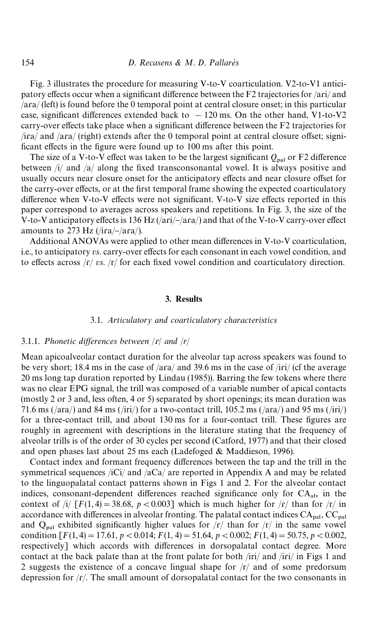[Fig. 3 i](#page-9-0)llustrates the procedure for measuring V-to-V coarticulation. V2-to-V1 anticipatory effects occur when a significant difference between the F2 trajectories for  $/ari/$  and /aɾa/ (left) is found before the 0 temporal point at central closure onset; in this particular case, significant differences extended back to  $-120$  ms. On the other hand, V1-to-V2 carry-over effects take place when a significant difference between the F2 trajectories for  $/$ ira $/$  and  $/$ ara $/$  (right) extends after the 0 temporal point at central closure offset; significant effects in the figure were found up to 100 ms after this point.

The size of a V-to-V effect was taken to be the largest significant  $Q_{\text{rel}}$  or F2 difference between  $\pi/4$  and  $\pi/4$  along the fixed transconsonantal vowel. It is always positive and usually occurs near closure onset for the anticipatory effects and near closure offset for the carry-over effects, or at the first temporal frame showing the expected coarticulatory difference when V-to-V effects were not significant. V-to-V size effects reported in this paper correspond to averages across speakers and repetitions. In [Fig. 3,](#page-9-0) the size of the V-to-V anticipatory effects is 136 Hz  $(|ari|/|ara|)$  and that of the V-to-V carry-over effect amounts to 273 Hz ( $/$ ira $/$ – $/$ ara $/$ ).

Additional ANOVAs were applied to other mean differences in V-to-V coarticulation, i.e., to anticipatory *vs*. carry-over effects for each consonant in each vowel condition, and to effects across  $\frac{r}{s}$  *vs.*  $\frac{r}{s}$  for each fixed vowel condition and coarticulatory direction.

#### 3. Results

#### 3.1. *Articulatory and coarticulatory characteristics*

#### 3.1.1. Phonetic differences between  $\vert f \vert$  and  $\vert f \vert$

Mean apicoalveolar contact duration for the alveolar tap across speakers was found to be very short; 18.4 ms in the case of  $/ara/$  and 39.6 ms in the case of  $/iri/$  (cf the average 20 ms long tap duration reported by [Lindau \(1985\)\)](#page-23-0). Barring the few tokens where there was no clear EPG signal, the trill was composed of a variable number of apical contacts (mostly 2 or 3 and, less often, 4 or 5) separated by short openings; its mean duration was 71.6 ms (/ara/) and 84 ms (/iri/) for a two-contact trill,  $105.2$  ms (/ara/) and 95 ms (/iri/) for a three-contact trill, and about 130 ms for a four-contact trill. These figures are roughly in agreement with descriptions in the literature stating that the frequency of alveolar trills is of the order of 30 cycles per second [\(Catford, 1977\)](#page-23-0) and that their closed and open phases last about 25 ms each [\(Ladefoged & Maddieson, 1996\)](#page-23-0).

Contact index and formant frequency differences between the tap and the trill in the symmetrical sequences /iCi/ and /aCa/ are reported in Appendix A and may be related to the linguopalatal contact patterns shown in [Figs 1](#page-6-0) and [2.](#page-7-0) For the alveolar contact indices, consonant-dependent differences reached significance only for  $CA<sub>aly</sub>$  in the context of  $/i / [F(1, 4) = 38.68, p < 0.003]$  which is much higher for  $\frac{f}{f}$  than for  $\frac{f}{f}$  in accordance with differences in alveolar fronting. The palatal contact indices  $CA_{\text{pal}}$ ,  $CC_{\text{pal}}$ and  $Q_{\text{pal}}$  exhibited significantly higher values for  $\frac{r}{r}$  than for  $\frac{r}{r}$  in the same vowel condition  $[F(1,4) = 17.61, p < 0.014; F(1,4) = 51.64, p < 0.002; F(1,4) = 50.75, p < 0.002,$ respectively] which accords with differences in dorsopalatal contact degree. More contact at the back palate than at the front palate for both /iri/ and /iɾi/ in [Figs 1](#page-6-0) and [2](#page-7-0) suggests the existence of a concave lingual shape for  $\frac{r}{a}$  and of some predorsum depression for  $/r$ . The small amount of dorsopalatal contact for the two consonants in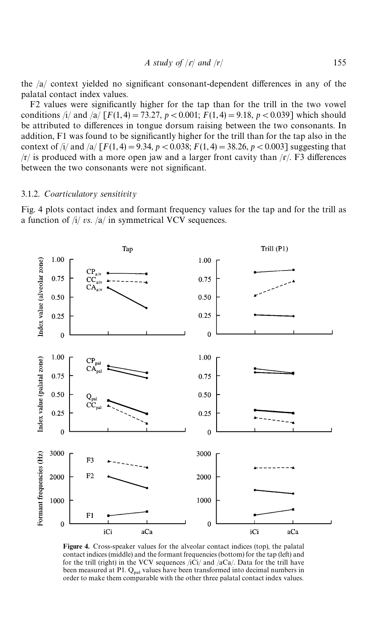the  $/a$  context yielded no significant consonant-dependent differences in any of the palatal contact index values.

F2 values were significantly higher for the tap than for the trill in the two vowel conditions /i/ and /a/  $[F(1,4) = 73.27, p < 0.001; F(1,4) = 9.18, p < 0.039$ ] which should be attributed to differences in tongue dorsum raising between the two consonants. In addition,  $F1$  was found to be significantly higher for the trill than for the tap also in the context of /i/ and /a/  $[F(1,4) = 9.34, p < 0.038; F(1,4) = 38.26, p < 0.003$ ] suggesting that  $/r/$  is produced with a more open jaw and a larger front cavity than  $/r/$ . F3 differences between the two consonants were not significant.

#### 3.1.2. *Coarticulatory sensitivity*

Fig. 4 plots contact index and formant frequency values for the tap and for the trill as a function of /i/ *vs*. /a/ in symmetrical VCV sequences.



Figure 4. Cross-speaker values for the alveolar contact indices (top), the palatal contact indices (middle) and the formant frequencies (bottom) for the tap (left) and for the trill (right) in the VCV sequences  $\langle i\hat{C}i/\rangle$  and  $\langle a\hat{C}a/\rangle$ . Data for the trill have been measured at P1. Q<sub>pal</sub> values have been transformed into decimal numbers in order to make them comparable with the other three palatal contact index values.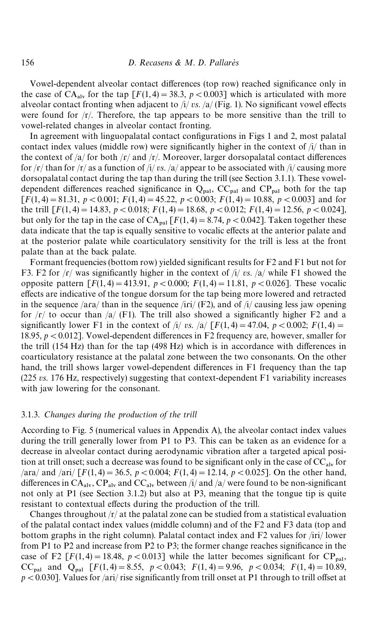Vowel-dependent alveolar contact differences (top row) reached significance only in the case of  $CA_{\text{adv}}$  for the tap  $\lceil F(1,4) = 38.3, p < 0.003 \rceil$  which is articulated with more alveolar contact fronting when adjacent to  $\frac{i}{y}$  *vs.*  $\frac{a}{F}$  [\(Fig. 1\).](#page-6-0) No significant vowel effects were found for  $\frac{r}{l}$ . Therefore, the tap appears to be more sensitive than the trill to vowel-related changes in alveolar contact fronting.

In agreement with linguopalatal contact configurations in [Figs 1](#page-6-0) and [2,](#page-7-0) most palatal contact index values (middle row) were significantly higher in the context of  $\frac{1}{l}$  than in the context of /a/ for both /r/ and /r/. Moreover, larger dorsopalatal contact differences for  $\frac{r}{r}$  than for  $\frac{r}{r}$  as a function of  $\frac{r}{r}$  *i vs.*  $\frac{a}{r}$  appear to be associated with  $\frac{r}{r}$  causing more dorsopalatal contact during the tap than during the trill (see Section 3.1.1). These voweldependent differences reached significance in  $Q_{\text{pal}}$ ,  $CC_{\text{pal}}$  and  $CP_{\text{pal}}$  both for the tap  $[F(1,4) = 81.31, p < 0.001; F(1,4) = 45.22, p < 0.003; F(1,4) = 10.88, p < 0.003$  and for the trill  $\lceil F(1, 4) \rceil = 14.83$ ,  $p < 0.018$ ;  $F(1, 4) = 18.68$ ,  $p < 0.012$ ;  $F(1, 4) = 12.56$ ,  $p < 0.024$ ], but only for the tap in the case of  $CA_{pal}$   $[F(1, 4) = 8.74, p < 0.042]$ . Taken together these data indicate that the tap is equally sensitive to vocalic effects at the anterior palate and at the posterior palate while coarticulatory sensitivity for the trill is less at the front palate than at the back palate.

Formant frequencies (bottom row) yielded significant results for F2 and F1 but not for F3. F2 for  $\sqrt{r}$  was significantly higher in the context of  $\sqrt{i}$  *vs.*  $\sqrt{a}$  while F1 showed the opposite pattern  $[F(1,4) = 413.91, p < 0.000; F(1,4) = 11.81, p < 0.026]$ . These vocalic effects are indicative of the tongue dorsum for the tap being more lowered and retracted in the sequence /ara/ than in the sequence /iri/  $(F2)$ , and of /i/ causing less jaw opening for  $\frac{r}{r}$  to occur than  $\frac{a}{r}$  (F1). The trill also showed a significantly higher F2 and a significantly lower F1 in the context of /i/ *vs.* /a/  $[F(1,4) = 47.04, p < 0.002; F(1,4) =$ 18.95,  $p < 0.012$ ]. Vowel-dependent differences in F2 frequency are, however, smaller for the trill  $(154 \text{ Hz})$  than for the tap  $(498 \text{ Hz})$  which is in accordance with differences in coarticulatory resistance at the palatal zone between the two consonants. On the other hand, the trill shows larger vowel-dependent differences in F1 frequency than the tap (225 *vs*. 176 Hz, respectively) suggesting that context-dependent F1 variability increases with jaw lowering for the consonant.

#### 3.1.3. *Changes during the production of the trill*

According to [Fig. 5](#page-14-0) (numerical values in Appendix A), the alveolar contact index values during the trill generally lower from P1 to P3. This can be taken as an evidence for a decrease in alveolar contact during aerodynamic vibration after a targeted apical position at trill onset; such a decrease was found to be significant only in the case of  $CC_{\text{av}}$  for  $\frac{1}{2}$  /ara/ and  $\frac{1}{2}$  [*F*(1, 4) = 36.5, *p* < 0.004; *F*(1, 4) = 12.14, *p* < 0.025]. On the other hand, differences in  $CA_{\text{alv}}$ ,  $CP_{\text{alv}}$  and  $CC_{\text{alv}}$  between /i/ and /a/ were found to be non-significant not only at P1 (see Section 3.1.2) but also at P3, meaning that the tongue tip is quite resistant to contextual effects during the production of the trill.

Changes throughout  $\frac{r}{4}$  at the palatal zone can be studied from a statistical evaluation of the palatal contact index values (middle column) and of the F2 and F3 data (top and bottom graphs in the right column). Palatal contact index and F2 values for /iri/ lower from P1 to P2 and increase from P2 to P3; the former change reaches significance in the case of F2  $[F(1,4) = 18.48, p < 0.013]$  while the latter becomes significant for CP<sub>pal</sub>, CC<sub>pal</sub> and Q<sub>pal</sub>  $[F(1,4) = 8.55, p < 0.043; F(1,4) = 9.96, p < 0.034; F(1,4) = 10.89$ ,  $p$  < 0.030]. Values for /ari/ rise significantly from trill onset at P1 through to trill offset at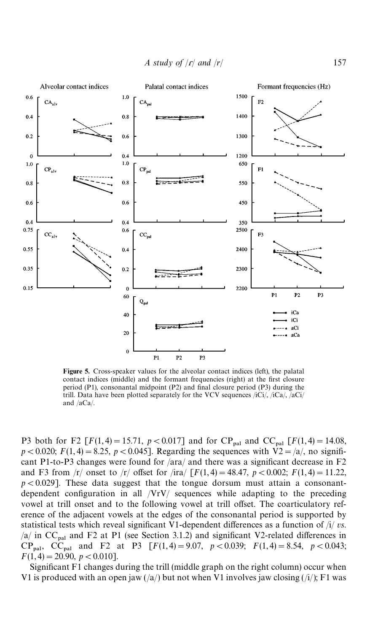*A study of* /ɾ/ *and* /*r*/ 157

<span id="page-14-0"></span>

Figure 5. Cross-speaker values for the alveolar contact indices (left), the palatal contact indices (middle) and the formant frequencies (right) at the first closure period  $(P1)$ , consonantal midpoint  $(P2)$  and final closure period  $(P3)$  during the trill. Data have been plotted separately for the VCV sequences /iCi/, /iCa/, /aCi/ and /aCa/.

P3 both for F2  $[F(1, 4) = 15.71, p < 0.017]$  and for CP<sub>pal</sub> and CC<sub>pal</sub>  $[F(1, 4) = 14.08$ ,  $p$  < 0.020;  $F(1, 4) = 8.25$ ,  $p$  < 0.045]. Regarding the sequences with V2 = /a/, no significant P1-to-P3 changes were found for  $\alpha$  and there was a significant decrease in F2 and F3 from  $|r|$  onset to  $|r|$  offset for  $\text{sin}\left[\frac{F(1,4)}{F(1,4)}\right] = 48.47$ ,  $p < 0.002$ ;  $F(1,4) = 11.22$ ,  $p<0.029$ ]. These data suggest that the tongue dorsum must attain a consonantdependent configuration in all /VrV/ sequences while adapting to the preceding vowel at trill onset and to the following vowel at trill offset. The coarticulatory reference of the adjacent vowels at the edges of the consonantal period is supported by statistical tests which reveal significant V1-dependent differences as a function of /i/ *vs*. /a/ in  $CC_{\text{pal}}$  and F2 at P1 (see Section 3.1.2) and significant V2-related differences in  $CP_{pal}$ ,  $CC_{pal}$  and F2 at P3  $[F(1,4) = 9.07, p < 0.039; F(1,4) = 8.54, p < 0.043;$  $F(1,4) = 20.90, p < 0.010$ .

Significant  $F1$  changes during the trill (middle graph on the right column) occur when V1 is produced with an open jaw  $(\frac{a}{a})$  but not when V1 involves jaw closing  $(\frac{h}{i})$ ; F1 was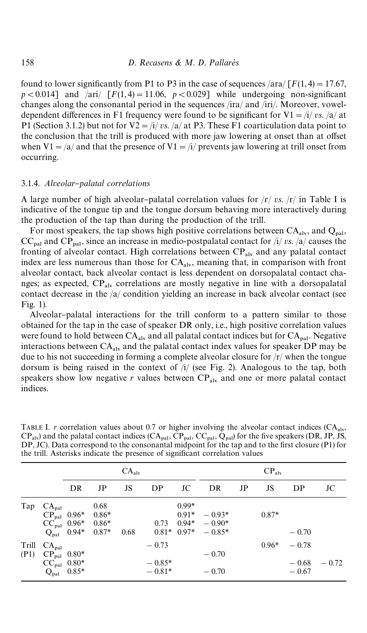found to lower significantly from P1 to P3 in the case of sequences  $\frac{\text{arg}}{\text{arg}}$  [*F*(1,4) = 17.67,  $p < 0.014$ ] and /ari/  $[F(1,4) = 11.06, p < 0.029]$  while undergoing non-significant changes along the consonantal period in the sequences /ira/ and /iri/. Moreover, voweldependent differences in F1 frequency were found to be significant for  $V1 = i/ v s$ . /a/ at P1 (Section 3.1.2) but not for  $V2 = i/\nu s$ . /a/ at P3. These F1 coarticulation data point to the conclusion that the trill is produced with more jaw lowering at onset than at offset when V1 =  $\alpha$  and that the presence of V1 =  $\alpha$  prevents jaw lowering at trill onset from occurring.

#### 3.1.4. *Alveolar*}*palatal correlations*

A large number of high alveolar-palatal correlation values for  $\frac{r}{r}$  *vs.*  $\frac{r}{n}$  in Table I is indicative of the tongue tip and the tongue dorsum behaving more interactively during the production of the tap than during the production of the trill.

For most speakers, the tap shows high positive correlations between  $CA<sub>aly</sub>$ , and  $Q<sub>nal</sub>$ ,  $CC_{\text{pal}}$  and  $CP_{\text{pal}}$ , since an increase in medio-postpalatal contact for  $\pi/2$  *vs.*  $\pi/2$  causes the fronting of alveolar contact. High correlations between  $CP_{\text{alv}}$  and any palatal contact index are less numerous than those for  $CA<sub>alv</sub>$ , meaning that, in comparison with front alveolar contact, back alveolar contact is less dependent on dorsopalatal contact changes; as expected,  $CP_{\text{av}}$  correlations are mostly negative in line with a dorsopalatal contact decrease in the /a/ condition yielding an increase in back alveolar contact (see [Fig. 1\)](#page-6-0).

Alveolar-palatal interactions for the trill conform to a pattern similar to those obtained for the tap in the case of speaker DR only, i.e., high positive correlation values were found to hold between  $CA_{\text{alv}}$  and all palatal contact indices but for  $CA_{\text{pal}}$ . Negative interactions between  $CA<sub>alv</sub>$  and the palatal contact index values for speaker DP may be due to his not succeeding in forming a complete alveolar closure for  $\frac{r}{r}$  when the tongue dorsum is being raised in the context of  $\pi/2$  (see [Fig. 2\)](#page-7-0). Analogous to the tap, both speakers show low negative  $r$  values between  $CP_{\text{alv}}$  and one or more palatal contact indices.

|               |                                                                                               |         |                                       | $CA_{\text{alv}}$ |                                 |                               | $CP_{\rm alv}$                                      |    |         |                               |         |
|---------------|-----------------------------------------------------------------------------------------------|---------|---------------------------------------|-------------------|---------------------------------|-------------------------------|-----------------------------------------------------|----|---------|-------------------------------|---------|
|               |                                                                                               | DR      | $_{\rm JP}$                           | JS                | DP                              | JC                            | DR                                                  | JP | JS      | DP                            | JC      |
| Tap           | $CA_{\text{pal}}$<br>$CP_{\text{pal}}$ 0.96*<br>$CC_{\text{pal}} 0.96*$<br>$Q_{\mathrm{pal}}$ | $0.94*$ | 0.68<br>$0.86*$<br>$0.86*$<br>$0.87*$ | 0.68              | 0.73                            | $0.99*$<br>$0.91*$<br>$0.94*$ | $-0.93*$<br>$-0.90*$<br>$0.81^*$ $0.97^*$ $-0.85^*$ |    | $0.87*$ | $-0.70$                       |         |
| Trill<br>(P1) | $CA_{\text{pal}}$<br>$CP_{\text{pal}}$ 0.80*<br>$CC_{\text{pal}} 0.80*$<br>$Q_{\text{pal}}$   | $0.85*$ |                                       |                   | $-0.73$<br>$-0.85*$<br>$-0.81*$ |                               | $-0.70$<br>$-0.70$                                  |    | $0.96*$ | $-0.78$<br>$-0.68$<br>$-0.67$ | $-0.72$ |

TABLE I.  $r$  correlation values about 0.7 or higher involving the alveolar contact indices (CA<sub>alv</sub>,  $CP_{\text{alv}}$ ) and the palatal contact indices  $(CA_{\text{pal}}, CP_{\text{pal}}, CC_{\text{pal}}, Q_{\text{pal}})$  for the five speakers (DR, JP, JS, DP, JC). Data correspond to the consonantal midpoint for the tap and to the first closure (P1) for the trill. Asterisks indicate the presence of significant correlation values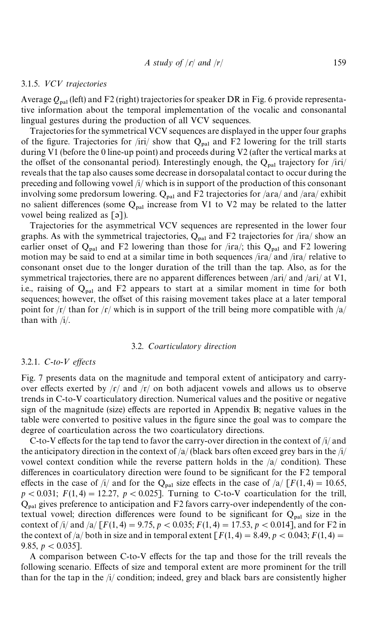#### 3.1.5. <*C*< *trajectories*

Average  $Q_{\text{pal}}$  (left) and F2 (right) trajectories for speaker DR in [Fig. 6](#page-17-0) provide representative information about the temporal implementation of the vocalic and consonantal lingual gestures during the production of all VCV sequences.

Trajectories for the symmetrical VCV sequences are displayed in the upper four graphs of the figure. Trajectories for /iri/ show that  $Q_{\text{nal}}$  and F2 lowering for the trill starts during V1 (before the 0 line-up point) and proceeds during V2 (after the vertical marks at the offset of the consonantal period). Interestingly enough, the  $Q_{\text{nal}}$  trajectory for /iri/ reveals that the tap also causes some decrease in dorsopalatal contact to occur during the preceding and following vowel /i/ which is in support of the production of this consonant involving some predorsum lowering.  $Q_{\text{pal}}$  and F2 trajectories for /ara/ and /ara/ exhibit no salient differences (some  $Q_{\text{pal}}$  increase from V1 to V2 may be related to the latter vowel being realized as [ə]).

Trajectories for the asymmetrical VCV sequences are represented in the lower four graphs. As with the symmetrical trajectories,  $Q_{\text{pal}}$  and F2 trajectories for /ira/ show an earlier onset of  $Q_{\text{pal}}$  and F2 lowering than those for /ira/; this  $Q_{\text{pal}}$  and F2 lowering motion may be said to end at a similar time in both sequences  $/$ ira $/$  and  $/$ ira $/$  relative to consonant onset due to the longer duration of the trill than the tap. Also, as for the symmetrical trajectories, there are no apparent differences between  $/ari/$  and  $/ari/$  at V1, i.e., raising of  $Q_{pal}$  and F2 appears to start at a similar moment in time for both sequences; however, the offset of this raising movement takes place at a later temporal point for  $\frac{r}{\sqrt{a}}$  than for  $\frac{r}{\sqrt{b}}$  which is in support of the trill being more compatible with  $\frac{a}{\sqrt{a}}$ than with /i/.

#### 3.2. *Coarticulatory direction*

#### 3.2.1. *C*-*to-V effects*

[Fig. 7](#page-18-0) presents data on the magnitude and temporal extent of anticipatory and carryover effects exerted by  $\frac{r}{\sqrt{r}}$  and  $\frac{r}{r}$  on both adjacent vowels and allows us to observe trends in C-to-V coarticulatory direction. Numerical values and the positive or negative sign of the magnitude (size) effects are reported in Appendix B; negative values in the table were converted to positive values in the figure since the goal was to compare the degree of coarticulation across the two coarticulatory directions.

C-to-V effects for the tap tend to favor the carry-over direction in the context of  $/i$  and the anticipatory direction in the context of  $\frac{a}{\text{else}}$  bars often exceed grey bars in the  $\frac{1}{\text{else}}$ vowel context condition while the reverse pattern holds in the /a/ condition). These differences in coarticulatory direction were found to be significant for the F2 temporal effects in the case of  $i/4$  and for the Q<sub>pal</sub> size effects in the case of  $\frac{a}{F(1, 4)} = 10.65$ ,  $p < 0.031$ ;  $F(1, 4) = 12.27$ ,  $p < 0.025$ ]. Turning to C-to-V coarticulation for the trill,  $Q<sub>pal</sub>$  gives preference to anticipation and F2 favors carry-over independently of the contextual vowel; direction differences were found to be significant for  $Q_{\text{pal}}$  size in the context of  $\frac{1}{4}$  and  $\frac{1}{2}$  [*F*(1, 4) = 9.75, *p* < 0.035; *F*(1, 4) = 17.53, *p* < 0.014], and for F2 in the context of /a/ both in size and in temporal extent  $\lceil F(1, 4) = 8.49, p < 0.043; F(1, 4) =$ 9.85,  $p < 0.035$ ].

A comparison between C-to-V effects for the tap and those for the trill reveals the following scenario. Effects of size and temporal extent are more prominent for the trill than for the tap in the  $/i$  condition; indeed, grey and black bars are consistently higher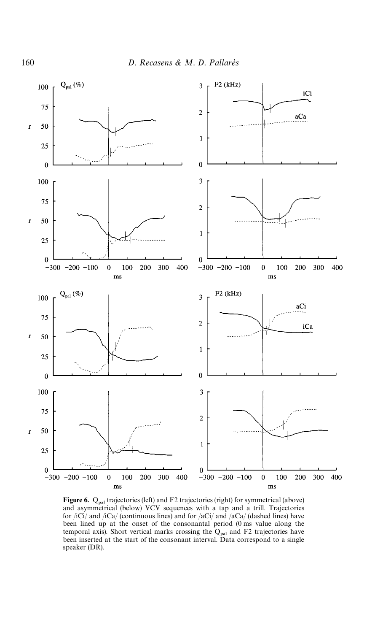<span id="page-17-0"></span>

Figure 6.  $Q_{\text{pal}}$  trajectories (left) and F2 trajectories (right) for symmetrical (above) and asymmetrical (below) VCV sequences with a tap and a trill. Trajectories for /iCi/ and /iCa/ (continuous lines) and for /aCi/ and /aCa/ (dashed lines) have been lined up at the onset of the consonantal period (0 ms value along the temporal axis). Short vertical marks crossing the  $Q_{\text{pal}}$  and F2 trajectories have been inserted at the start of the consonant interval. Data correspond to a single speaker (DR).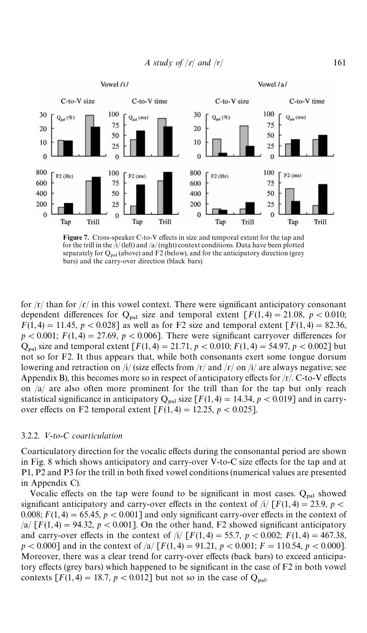<span id="page-18-0"></span>

*A study of*  $|r|$  *and*  $|r|$  161

Figure 7. Cross-speaker C-to-V effects in size and temporal extent for the tap and for the trill in the  $\frac{1}{\sqrt{1-\frac{1}{n}}}$  (left) and  $\frac{1}{\sqrt{1-\frac{1}{n}}}$  context conditions. Data have been plotted separately for  $Q_{\text{pal}}$  (above) and F2 (below), and for the anticipatory direction (grey bars) and the carry-over direction (black bars).

for  $\frac{r}{r}$  than for  $\frac{r}{r}$  in this vowel context. There were significant anticipatory consonant dependent differences for  $Q_{\text{nal}}$  size and temporal extent  $\lceil F(1, 4) \rceil = 21.08$ ,  $p < 0.010$ ;  $F(1,4) = 11.45$ ,  $p < 0.028$ ] as well as for F2 size and temporal extent  $\lceil F(1,4) = 82.36$ ,  $p < 0.001$ ;  $F(1,4) = 27.69$ ,  $p < 0.006$ ]. There were significant carryover differences for  $Q_{\text{pal}}$  size and temporal extent  $[F(1, 4) = 21.71, p < 0.010; F(1, 4) = 54.97, p < 0.002]$  but not so for F2. It thus appears that, while both consonants exert some tongue dorsum lowering and retraction on /i/ (size effects from /r/ and / $r/$  on /i/ are always negative; see Appendix B), this becomes more so in respect of anticipatory effects for  $/r/c$ . C-to-V effects on /a/ are also often more prominent for the trill than for the tap but only reach statistical significance in anticipatory  $Q_{\text{pal}}$  size  $[F(1,4) = 14.34, p < 0.019]$  and in carryover effects on F2 temporal extent  $[F(1,4) = 12.25, p < 0.025]$ .

#### 3.2.2. V-to-C coarticulation

Coarticulatory direction for the vocalic effects during the consonantal period are shown in [Fig. 8](#page-19-0) which shows anticipatory and carry-over V-to-C size effects for the tap and at P1, P2 and P3 for the trill in both fixed vowel conditions (numerical values are presented in Appendix C).

Vocalic effects on the tap were found to be significant in most cases.  $Q_{pal}$  showed significant anticipatory and carry-over effects in the context of  $\pi/[(F(1, 4) = 23.9, p <$ 0.008;  $F(1,4) = 65.45$ ,  $p < 0.001$ ] and only significant carry-over effects in the context of  $\sqrt{a}$  [ $F(1,4) = 94.32$ ,  $p < 0.001$ ]. On the other hand, F2 showed significant anticipatory and carry-over effects in the context of  $i/$  [ $F(1, 4) = 55.7$ ,  $p < 0.002$ ;  $F(1, 4) = 467.38$ ,  $p < 0.000$ ] and in the context of  $\frac{\lambda}{F(1, 4)} = 91.21$ ,  $p < 0.001$ ;  $F = 110.54$ ,  $p < 0.000$ ]. Moreover, there was a clear trend for carry-over effects (back bars) to exceed anticipatory effects (grey bars) which happened to be significant in the case of F2 in both vowel contexts  $[F(1,4) = 18.7, p < 0.012]$  but not so in the case of  $Q_{\text{pal}}$ .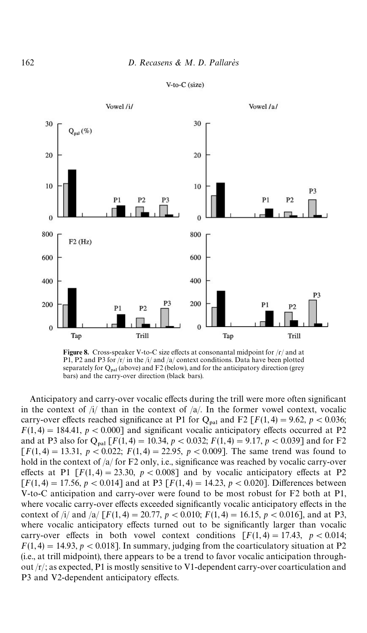#### $V-to-C$  (size)

<span id="page-19-0"></span>

Figure 8. Cross-speaker V-to-C size effects at consonantal midpoint for  $/r/$  and at P1, P2 and P3 for  $/r/$  in the  $\frac{1}{4}$  and  $\frac{1}{4}$  context conditions. Data have been plotted separately for  $Q_{\text{pal}}$  (above) and F2 (below), and for the anticipatory direction (grey bars) and the carry-over direction (black bars).

Anticipatory and carry-over vocalic effects during the trill were more often significant in the context of  $/i/$  than in the context of  $/a/$ . In the former vowel context, vocalic carry-over effects reached significance at P1 for Q<sub>pal</sub> and F2 [ $F(1,4) = 9.62$ ,  $p < 0.036$ ;  $F(1,4) = 184.41$ ,  $p < 0.000$ ] and significant vocalic anticipatory effects occurred at P2 and at P3 also for  $Q_{\text{pal}}$  [*F*(1,4) = 10.34, *p* < 0.032; *F*(1,4) = 9.17, *p* < 0.039] and for F2  $[F(1, 4) = 13.31, p < 0.022; F(1, 4) = 22.95, p < 0.009$ . The same trend was found to hold in the context of  $\frac{a}{a}$  for F2 only, i.e., significance was reached by vocalic carry-over effects at P1  $[F(1, 4) = 23.30, p < 0.008]$  and by vocalic anticipatory effects at P2  $[F(1,4) = 17.56, p < 0.014]$  and at P3  $[F(1,4) = 14.23, p < 0.020]$ . Differences between V-to-C anticipation and carry-over were found to be most robust for F2 both at P1, where vocalic carry-over effects exceeded significantly vocalic anticipatory effects in the context of  $\frac{1}{4}$  and  $\frac{1}{2}$  [*F*(1, 4) = 20.77, *p* < 0.010; *F*(1, 4) = 16.15, *p* < 0.016], and at P3, where vocalic anticipatory effects turned out to be significantly larger than vocalic carry-over effects in both vowel context conditions  $[F(1, 4) = 17.43, p < 0.014;$  $F(1,4) = 14.93$ ,  $p < 0.018$ ]. In summary, judging from the coarticulatory situation at P2 (i.e., at trill midpoint), there appears to be a trend to favor vocalic anticipation throughout  $\langle r \rangle$ ; as expected, P1 is mostly sensitive to V1-dependent carry-over coarticulation and P3 and V2-dependent anticipatory effects.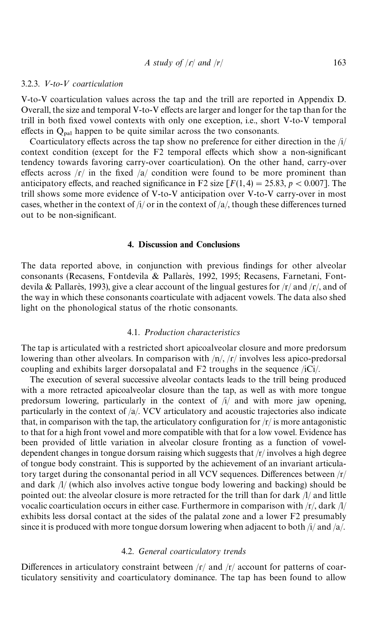#### <span id="page-20-0"></span>3.2.3. <-*to*-< *coarticulation*

V-to-V coarticulation values across the tap and the trill are reported in Appendix D. Overall, the size and temporal V-to-V effects are larger and longer for the tap than for the trill in both fixed vowel contexts with only one exception, i.e., short V-to-V temporal effects in  $Q_{\text{pal}}$  happen to be quite similar across the two consonants.

Coarticulatory effects across the tap show no preference for either direction in the  $/i/$ context condition (except for the  $F2$  temporal effects which show a non-significant tendency towards favoring carry-over coarticulation). On the other hand, carry-over effects across  $\sqrt{r}$  in the fixed  $\sqrt{a}$  condition were found to be more prominent than anticipatory effects, and reached significance in F2 size  $[F(1,4) = 25.83, p < 0.007]$ . The trill shows some more evidence of V-to-V anticipation over V-to-V carry-over in most cases, whether in the context of  $\frac{i}{a}$  or in the context of  $\frac{a}{b}$ , though these differences turned out to be non-significant.

#### 4. Discussion and Conclusions

The data reported above, in conjunction with previous findings for other alveolar consonants (Recasens, Fontdevila & Pallarès, 1992, 1995; Recasens, Farnetani, Fontdevila & Pallarès, 1993), give a clear account of the lingual gestures for  $\frac{r}{\tan \theta}$  /r/, and of the way in which these consonants coarticulate with adjacent vowels. The data also shed light on the phonological status of the rhotic consonants.

#### 4.1. *Production characteristics*

The tap is articulated with a restricted short apicoalveolar closure and more predorsum lowering than other alveolars. In comparison with  $/n/$ ,  $/r/$  involves less apico-predorsal coupling and exhibits larger dorsopalatal and F2 troughs in the sequence /iCi/.

The execution of several successive alveolar contacts leads to the trill being produced with a more retracted apicoalveolar closure than the tap, as well as with more tongue predorsum lowering, particularly in the context of /i/ and with more jaw opening, particularly in the context of /a/. VCV articulatory and acoustic trajectories also indicate that, in comparison with the tap, the articulatory configuration for  $\frac{r}{i}$  is more antagonistic to that for a high front vowel and more compatible with that for a low vowel. Evidence has been provided of little variation in alveolar closure fronting as a function of voweldependent changes in tongue dorsum raising which suggests that /r/ involves a high degree of tongue body constraint. This is supported by the achievement of an invariant articulatory target during the consonantal period in all VCV sequences. Differences between  $\langle r \rangle$ and dark /l/ (which also involves active tongue body lowering and backing) should be pointed out: the alveolar closure is more retracted for the trill than for dark /l/ and little vocalic coarticulation occurs in either case. Furthermore in comparison with  $\frac{r}{\lambda}$  dark  $\frac{1}{\lambda}$ exhibits less dorsal contact at the sides of the palatal zone and a lower F2 presumably since it is produced with more tongue dorsum lowering when adjacent to both  $/i$  and  $/a$ .

#### 4.2. *General coarticulatory trends*

Differences in articulatory constraint between  $\frac{r}{a}$  and  $\frac{r}{a}$  account for patterns of coarticulatory sensitivity and coarticulatory dominance. The tap has been found to allow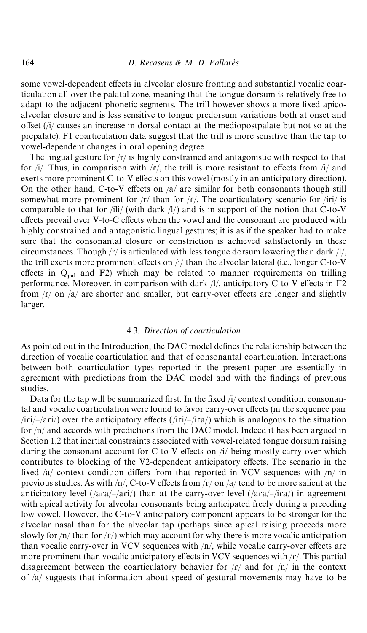some vowel-dependent effects in alveolar closure fronting and substantial vocalic coarticulation all over the palatal zone, meaning that the tongue dorsum is relatively free to adapt to the adjacent phonetic segments. The trill however shows a more fixed apicoalveolar closure and is less sensitive to tongue predorsum variations both at onset and offset  $(i)/$  causes an increase in dorsal contact at the mediopostpalate but not so at the prepalate). F1 coarticulation data suggest that the trill is more sensitive than the tap to vowel-dependent changes in oral opening degree.

The lingual gesture for  $\frac{r}{i}$  is highly constrained and antagonistic with respect to that for  $/i$ . Thus, in comparison with  $/r/$ , the trill is more resistant to effects from  $/i/$  and exerts more prominent C-to-V effects on this vowel (mostly in an anticipatory direction). On the other hand, C-to-V effects on  $\frac{a}{x}$  are similar for both consonants though still somewhat more prominent for  $/r/$  than for  $/r/$ . The coarticulatory scenario for  $/iri/$  is comparable to that for /ili/ (with dark  $\Lambda$ /) and is in support of the notion that C-to-V effects prevail over V-to-C effects when the vowel and the consonant are produced with highly constrained and antagonistic lingual gestures; it is as if the speaker had to make sure that the consonantal closure or constriction is achieved satisfactorily in these circumstances. Though  $\frac{r}{s}$  is articulated with less tongue dorsum lowering than dark  $\frac{1}{\sqrt{1}}$ , the trill exerts more prominent effects on  $/i/$  than the alveolar lateral (i.e., longer C-to-V effects in  $Q_{\text{nal}}$  and F2) which may be related to manner requirements on trilling performance. Moreover, in comparison with dark  $/1/$ , anticipatory C-to-V effects in F2 from  $\vert r \vert$  on  $\vert a \vert$  are shorter and smaller, but carry-over effects are longer and slightly larger.

#### 4.3. *Direction of coarticulation*

As pointed out in the Introduction, the DAC model defines the relationship between the direction of vocalic coarticulation and that of consonantal coarticulation. Interactions between both coarticulation types reported in the present paper are essentially in agreement with predictions from the DAC model and with the findings of previous studies.

Data for the tap will be summarized first. In the fixed  $\frac{1}{2}$  context condition, consonantal and vocalic coarticulation were found to favor carry-over effects (in the sequence pair  $\pi/$ iri/- $\pi/$ ) over the anticipatory effects ( $\pi/$ iri/- $\pi/$ ira/) which is analogous to the situation for /n/ and accords with predictions from the DAC model. Indeed it has been argued in Section 1.2 that inertial constraints associated with vowel-related tongue dorsum raising during the consonant account for C-to-V effects on  $\pi/$  being mostly carry-over which contributes to blocking of the V2-dependent anticipatory effects. The scenario in the fixed  $\sqrt{a}$  context condition differs from that reported in VCV sequences with  $\sqrt{n}$  in previous studies. As with  $/n/$ , C-to-V effects from  $/r/$  on  $/a/$  tend to be more salient at the anticipatory level ( $\langle \text{ara}/\text{-}\langle \text{ari}/\rangle$ ) than at the carry-over level ( $\langle \text{ara}/\text{-}\langle \text{ira}/\rangle$ ) in agreement with apical activity for alveolar consonants being anticipated freely during a preceding low vowel. However, the C-to-V anticipatory component appears to be stronger for the alveolar nasal than for the alveolar tap (perhaps since apical raising proceeds more slowly for  $/n/$  than for  $\frac{r}{)}$  which may account for why there is more vocalic anticipation than vocalic carry-over in VCV sequences with  $/n/$ , while vocalic carry-over effects are more prominent than vocalic anticipatory effects in VCV sequences with  $\frac{\Gamma}{\Gamma}$ . This partial disagreement between the coarticulatory behavior for  $\sqrt{r}$  and for  $\sqrt{n}$  in the context of /a/ suggests that information about speed of gestural movements may have to be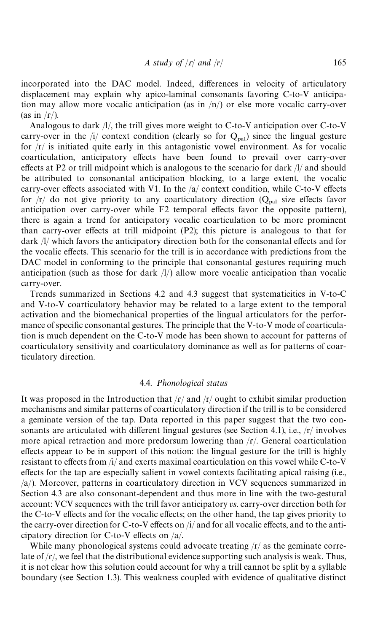incorporated into the DAC model. Indeed, differences in velocity of articulatory displacement may explain why apico-laminal consonants favoring C-to-V anticipation may allow more vocalic anticipation (as in  $/n/$ ) or else more vocalic carry-over (as in  $\Gamma$ ).

Analogous to dark /l/, the trill gives more weight to C-to-V anticipation over C-to-V carry-over in the /i/ context condition (clearly so for  $Q_{\text{nal}}$ ) since the lingual gesture for  $\vert r \vert$  is initiated quite early in this antagonistic vowel environment. As for vocalic coarticulation, anticipatory effects have been found to prevail over carry-over effects at P2 or trill midpoint which is analogous to the scenario for dark  $\frac{1}{a}$  and should be attributed to consonantal anticipation blocking, to a large extent, the vocalic carry-over effects associated with V1. In the  $\alpha$  context condition, while C-to-V effects for  $|r|$  do not give priority to any coarticulatory direction ( $Q_{\text{pal}}$  size effects favor anticipation over carry-over while  $F2$  temporal effects favor the opposite pattern), there is again a trend for anticipatory vocalic coarticulation to be more prominent than carry-over effects at trill midpoint  $(P2)$ ; this picture is analogous to that for dark  $\frac{1}{x}$  which favors the anticipatory direction both for the consonantal effects and for the vocalic effects. This scenario for the trill is in accordance with predictions from the DAC model in conforming to the principle that consonantal gestures requiring much anticipation (such as those for dark  $\Lambda/\Lambda$ ) allow more vocalic anticipation than vocalic carry-over.

Trends summarized in Sections 4.2 and 4.3 suggest that systematicities in V-to-C and V-to-V coarticulatory behavior may be related to a large extent to the temporal activation and the biomechanical properties of the lingual articulators for the performance of specific consonantal gestures. The principle that the V-to-V mode of coarticulation is much dependent on the C-to-V mode has been shown to account for patterns of coarticulatory sensitivity and coarticulatory dominance as well as for patterns of coarticulatory direction.

#### 4.4. *Phonological status*

It was proposed in the Introduction that  $\frac{r}{\pi}$  and  $\frac{r}{\pi}$  ought to exhibit similar production mechanisms and similar patterns of coarticulatory direction if the trill is to be considered a geminate version of the tap. Data reported in this paper suggest that the two consonants are articulated with different lingual gestures (see Section 4.1), i.e.,  $/r/$  involves more apical retraction and more predorsum lowering than  $/r$ . General coarticulation effects appear to be in support of this notion: the lingual gesture for the trill is highly resistant to effects from  $\pi/4$  and exerts maximal coarticulation on this vowel while C-to-V effects for the tap are especially salient in vowel contexts facilitating apical raising (i.e., /a/). Moreover, patterns in coarticulatory direction in VCV sequences summarized in Section 4.3 are also consonant-dependent and thus more in line with the two-gestural account: VCV sequences with the trill favor anticipatory *vs*. carry-over direction both for the C-to-V effects and for the vocalic effects; on the other hand, the tap gives priority to the carry-over direction for C-to-V effects on  $\frac{1}{4}$  and for all vocalic effects, and to the anticipatory direction for C-to-V effects on  $/a$ .

While many phonological systems could advocate treating  $\frac{r}{a}$  as the geminate correlate of  $\frac{f}{f}$ , we feel that the distributional evidence supporting such analysis is weak. Thus, it is not clear how this solution could account for why a trill cannot be split by a syllable boundary (see Section 1.3). This weakness coupled with evidence of qualitative distinct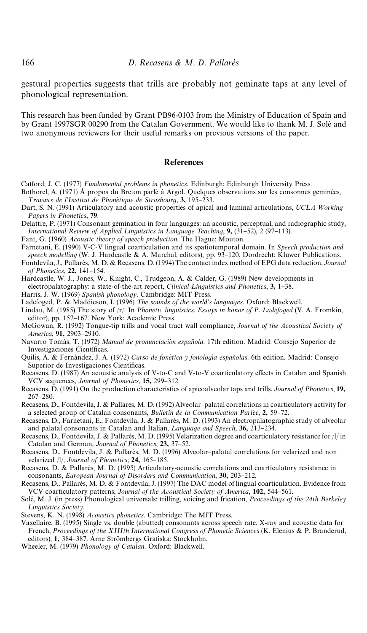gestural properties suggests that trills are probably not geminate taps at any level of phonological representation.

This research has been funded by Grant PB96-0103 from the Ministry of Education of Spain and by Grant 1997SGR 00290 from the Catalan Government. We would like to thank M. J. Solé and two anonymous reviewers for their useful remarks on previous versions of the paper.

#### References

- Catford, J. C. (1977) *Fundamental problems in phonetics*. Edinburgh: Edinburgh University Press. Bothorel, A. (1971)  $\hat{A}$  propos du Breton parlé à Argol. Quelques observations sur les consonnes geminées,
- *Travaux de l'Institut de Phonétique de Strasbourg*, 3, 195-233.
- Dart, S. N. (1991) Articulatory and acoustic properties of apical and laminal articulations, *UCLA Working Papers in Phonetics*, 79.
- Delattre, P. (1971) Consonant gemination in four languages: an acoustic, perceptual, and radiographic study, *International Review of Applied Linguistics in Language Teaching*, 9, (31–52), 2 (97–113).
- Fant, G. (1960) *Acoustic theory of speech production*. The Hague: Mouton.
- Farnetani, E. (1990) V-C-V lingual coarticulation and its spatiotemporal domain. In *Speech production and* speech modelling (W. J. Hardcastle & A. Marchal, editors), pp. 93-120. Dordrecht: Kluwer Publications.

Fontdevila, J., Pallarès, M. D. & Recasens, D. (1994) The contact index method of EPG data reduction, *Journal of Phonetics*, 22, 141-154.

Hardcastle, W. J., Jones, W., Knight, C., Trudgeon, A. & Calder, G. (1989) New developments in electropalatography: a state-of-the-art report, *Clinical Linguistics and Phonetics*, 3, 1-38.

Harris, J. W. (1969) *Spanish phonology*. Cambridge: MIT Press.

- Ladefoged, P. & Maddieson, I. (1996) The sounds of the world's languages. Oxford: Blackwell.
- Lindau, M. (1985) The story of /r/. In *Phonetic linguistics. Essays in honor of P. Ladefoged* (V. A. Fromkin, editor), pp. 157-167. New York: Academic Press.
- McGowan, R. (1992) Tongue-tip trills and vocal tract wall compliance, *Journal of the Acoustical Society of* America, 91, 2903-2910.
- Navarro Tomás, T. (1972) *Manual de pronunciación española*. 17th edition. Madrid: Consejo Superior de Investigaciones Científicas.
- Quilis, A. & Fernández, J. A. (1972) *Curso de fonética y fonología españolas*. 6th edition. Madrid: Consejo Superior de Investigaciones Científicas.
- Recasens, D. (1987) An acoustic analysis of V-to-C and V-to-V coarticulatory effects in Catalan and Spanish VCV sequences, *Journal of Phonetics*, 15, 299-312.
- Recasens, D. (1991) On the production characteristics of apicoalveolar taps and trills, *Journal of Phonetics*, 19, 267-280.
- Recasens, D., Fontdevila, J. & Pallarès, M. D. (1992) Alveolar-palatal correlations in coarticulatory activity for a selected group of Catalan consonants, *Bulletin de la Communication Parlée*, 2, 59-72.
- Recasens, D., Farnetani, E., Fontdevila, J. & Pallarès, M. D. (1993) An electropalatographic study of alveolar and palatal consonants in Catalan and Italian, *Language and Speech*, 36, 213–234.
- Recasens, D., Fontdevila, J. & Pallarès, M. D. (1995) Velarization degree and coarticulatory resistance for  $/1/n$ Catalan and German, *Journal of Phonetics*, 23, 37-52.
- Recasens, D., Fontdevila, J. & Pallarès, M. D. (1996) Alveolar-palatal correlations for velarized and non velarized /l/, *Journal of Phonetics*, 24, 165-185.
- Recasens, D. & Pallarès, M. D. (1995) Articulatory-acoustic correlations and coarticulatory resistance in consonants, *European Journal of Disorders and Communication*, 30, 203-212.
- Recasens, D., Pallarès, M. D. & Fontdevila, J. (1997) The DAC model of lingual coarticulation. Evidence from VCV coarticulatory patterns, *Journal of the Acoustical Society of America*, 102, 544–561.
- Solé, M. J. (in press) Phonological universals: trilling, voicing and frication, *Proceedings of the 24th Berkeley* ¸*inguistics Society*.
- Stevens, K. N. (1998) *Acoustics phonetics*. Cambridge: The MIT Press.
- Vaxellaire, B. (1995) Single vs. double (abutted) consonants across speech rate. X-ray and acoustic data for French, *Proceedings of the XIIIth International Congress of Phonetic Sciences* (K. Elenius & P. Branderud, editors), 1, 384-387. Arne Strömbergs Grafiska: Stockholm.
- Wheeler, M. (1979) *Phonology of Catalan*. Oxford: Blackwell.

<span id="page-23-0"></span>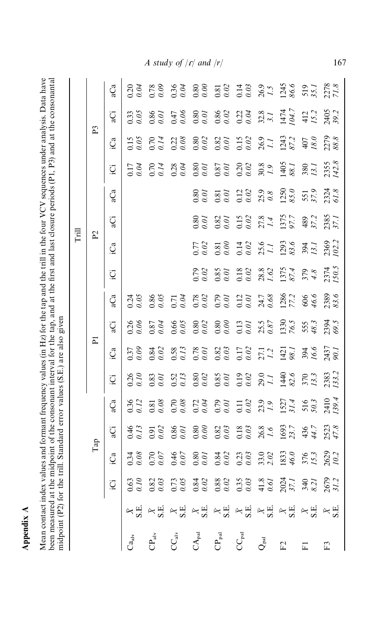Appendix A Appendix A

Mean contact index values and formant frequency values (in Hz) for the tap and the trill in the four VCV sequences under analysis. Data have<br>been measured at the midpoint of the consonant interval for the tap, and at the f Mean contact index values and formant frequency values (in Hz) for the tap and the trill in the four VCV sequences under analysis. Data have been measured at the midpoint of the consonant interval for the tap, and at the first and last closure periods (P1, P3) and at the consonantal midpoint (P2) for the trill. Standard error values (S.E.) are also given midpoint (P2) for the trill. Standard error values (S.E.) are also given

| Frill | P <sub>3</sub><br>P2 | .Ca<br>₫<br>аĈа<br>್ಣ<br>.Ca<br>Ö<br>qCa | $\frac{33}{205}$<br>$\frac{5}{2.05}$<br>0.17<br>23.03                                                                                                                                                                                                                                                                                                                                                                                                                      | 0.86<br>0.70<br>0.70<br>0.86 | $0.47$<br>0.06<br>$\frac{22}{0.08}$<br>0.28<br>0.71 | 0.80<br>$^{77}_{9.02}$<br>$\frac{20}{20}$ | 0.80<br>0.86 0.27<br>0.27 32.8<br>5.27<br>147<br>147<br>142<br>142<br>0.80<br>0.82<br>0.93<br>0.93<br>0.93<br>0.93<br>2.93<br>2.93<br>2.93<br>2.93<br>0.80<br>0.67<br>0.67<br>0.62<br>0.62<br>0.62<br>1.40<br>5.63<br>3.80<br>3.7.1<br>0.81<br>0.81 0.12 3,98<br>0.81 0.12 3,98<br>0.81 0.81 5,97 5,97 61.8<br>0.81 5,97 61.8<br>0.82<br>0.81<br>$\begin{array}{l} 0.78 \\ 0.02 \\ 0.03 \\ 0.04 \\ 0.04 \\ 0.01 \\ 0.04 \\ 0.05 \\ 0.05 \\ 0.04 \\ 0.05 \\ 0.04 \\ 0.05 \\ 0.05 \\ 0.05 \\ 0.05 \\ 0.03 \\ 0.33 \\ 0.05 \\ 0.03 \\ 0.03 \\ 0.03 \\ 0.03 \\ 0.03 \\ 0.03 \\ 0.03 \\ 0.03 \\ 0.03 \\ 0.03 \\ 0.03 \\ 0.03 \\ 0.03 \\ 0.03 \\ 0.03 \\ 0.03 \\ 0.$ | $0.15$<br>$0.02$<br>$27.8$<br>$1.375$<br>$4.4$<br>$97.7$<br>$489$<br>$0.14$<br>$0.02$<br>$1.1$<br>$1.293$<br>$0.56$<br>$0.394$<br>$0.334$<br>0.85<br>0.018<br>0.02 38.82<br>0.02 374<br>0.02 374 |                  |     | 2405<br>2279<br>88.8<br>2355<br>142.8<br>2385<br>37.1<br>2369<br>'02.2<br>2374<br>50.5 |
|-------|----------------------|------------------------------------------|----------------------------------------------------------------------------------------------------------------------------------------------------------------------------------------------------------------------------------------------------------------------------------------------------------------------------------------------------------------------------------------------------------------------------------------------------------------------------|------------------------------|-----------------------------------------------------|-------------------------------------------|----------------------------------------------------------------------------------------------------------------------------------------------------------------------------------------------------------------------------------------------------------------------------------------------------------------------------------------------------------------------------------------------------------------------------------------------------------------------------------------------------------------------------------------------------------------------------------------------------------------------------------------------------------------|--------------------------------------------------------------------------------------------------------------------------------------------------------------------------------------------------|------------------|-----|----------------------------------------------------------------------------------------|
|       | 运                    | Ča<br>₫                                  | $\frac{3.26}{2.06}$<br>0.37<br>0.76                                                                                                                                                                                                                                                                                                                                                                                                                                        | 0.87<br>0.84<br>0.83         | 0.66<br>0.58                                        |                                           | 0.78<br>0.82<br>0.82<br>0.52<br>2.7.1<br>142<br>9.83<br>0.6.6                                                                                                                                                                                                                                                                                                                                                                                                                                                                                                                                                                                                  |                                                                                                                                                                                                  |                  |     | 2437<br>90.1<br>2383<br>'33.2                                                          |
|       | Tap                  | Ga                                       | 0.36<br>346<br>0.34<br>12 32 32 52 32 32 32 32 32 42 52 52 52                                                                                                                                                                                                                                                                                                                                                                                                              | $\frac{3.81}{2.08}$<br>0.70  | 0.708                                               |                                           | $0.72$<br>$0.03$<br>$0.01$<br>$0.02$<br>$0.01$<br>$0.03$<br>$0.9$                                                                                                                                                                                                                                                                                                                                                                                                                                                                                                                                                                                              |                                                                                                                                                                                                  | $1527$<br>$31.4$ | 516 | 2410<br>139.4                                                                          |
|       |                      |                                          | $\begin{tabular}{ c c c c c } \hline $\kappa_{\rm H}$ & $\kappa_{\rm H}$ & $\kappa_{\rm H}$ & $\kappa_{\rm H}$ & $\kappa_{\rm H}$ & $\kappa_{\rm H}$ & $\kappa_{\rm H}$ & $\kappa_{\rm H}$ & $\kappa_{\rm H}$ & $\kappa_{\rm H}$ & $\kappa_{\rm H}$ & $\kappa_{\rm H}$ & $\kappa_{\rm H}$ & $\kappa_{\rm H}$ & $\kappa_{\rm H}$ & $\kappa_{\rm H}$ & $\kappa_{\rm H}$ & $\kappa_{\rm H}$ & $\kappa_{\rm H}$ & $\kappa_{\rm H}$ & $\kappa_{\rm H}$ & $\kappa_{\rm H}$ & $\$ |                              |                                                     |                                           |                                                                                                                                                                                                                                                                                                                                                                                                                                                                                                                                                                                                                                                                |                                                                                                                                                                                                  |                  |     |                                                                                        |

*A* study of  $\vert r \vert$  and  $\vert$ 

*r*/ 167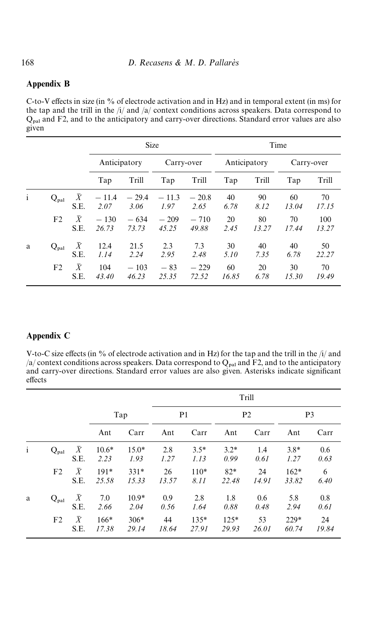#### Appendix B

C-to-V effects in size (in % of electrode activation and in Hz) and in temporal extent (in ms) for the tap and the trill in the /i/ and /a/ context conditions across speakers. Data correspond to  $Q<sub>pal</sub>$  and F2, and to the anticipatory and carry-over directions. Standard error values are also given

|              |                  |                          |                 | <b>Size</b>     |                 |                 | Time         |             |             |              |  |  |
|--------------|------------------|--------------------------|-----------------|-----------------|-----------------|-----------------|--------------|-------------|-------------|--------------|--|--|
|              |                  |                          | Anticipatory    |                 | Carry-over      |                 | Anticipatory |             |             | Carry-over   |  |  |
|              |                  |                          | Tap             | Trill           | Tap             | Trill           | Tap          | Trill       | Tap         | Trill        |  |  |
| $\mathbf{i}$ | $Q_{\text{pal}}$ | X<br>S.E.                | $-11.4$<br>2.07 | $-29.4$<br>3.06 | $-11.3$<br>1.97 | $-20.8$<br>2.65 | 40<br>6.78   | 90<br>8.12  | 60<br>13.04 | 70<br>17.15  |  |  |
|              | F <sub>2</sub>   | $\bar{X}$<br>S.E.        | $-130$<br>26.73 | $-634$<br>73.73 | $-209$<br>45.25 | $-710$<br>49.88 | 20<br>2.45   | 80<br>13.27 | 70<br>17.44 | 100<br>13.27 |  |  |
| a            | $Q_{\text{pal}}$ | $\boldsymbol{X}$<br>S.E. | 12.4<br>1.14    | 21.5<br>2.24    | 2.3<br>2.95     | 7.3<br>2.48     | 30<br>5.10   | 40<br>7.35  | 40<br>6.78  | 50<br>22.27  |  |  |
|              | F <sub>2</sub>   | $\bar{X}$<br>S.E.        | 104<br>43.40    | $-103$<br>46.23 | $-83$<br>25.35  | $-229$<br>72.52 | 60<br>16.85  | 20<br>6.78  | 30<br>15.30 | 70<br>19.49  |  |  |

#### Appendix C

V-to-C size effects (in % of electrode activation and in Hz) for the tap and the trill in the  $\pi/4$  and /a/ context conditions across speakers. Data correspond to  $Q_{\text{pal}}$  and F2, and to the anticipatory and carry-over directions. Standard error values are also given. Asterisks indicate significant effects

|              |                  |                   |                 |                 |                |                 |                 | Trill       |                 |             |
|--------------|------------------|-------------------|-----------------|-----------------|----------------|-----------------|-----------------|-------------|-----------------|-------------|
|              |                  |                   | Tap             |                 | P <sub>1</sub> |                 | P <sub>2</sub>  |             | P <sub>3</sub>  |             |
|              |                  |                   | Ant             | Carr            | Ant            | Carr            | Ant             | Carr        | Ant             | Carr        |
| $\mathbf{i}$ | $Q_{\text{pal}}$ | $\bar{X}$<br>S.E. | $10.6*$<br>2.23 | $15.0*$<br>1.93 | 2.8<br>1.27    | $3.5*$<br>1.13  | $3.2*$<br>0.99  | 1.4<br>0.61 | $3.8*$<br>1.27  | 0.6<br>0.63 |
|              | F <sub>2</sub>   | $\bar{X}$<br>S.E. | $191*$<br>25.58 | $331*$<br>15.33 | 26<br>13.57    | $110*$<br>8.11  | $82*$<br>22.48  | 24<br>14.91 | $162*$<br>33.82 | 6<br>6.40   |
| a            | $Q_{\text{pal}}$ | $\bar{X}$<br>S.E. | 7.0<br>2.66     | $10.9*$<br>2.04 | 0.9<br>0.56    | 2.8<br>1.64     | 1.8<br>0.88     | 0.6<br>0.48 | 5.8<br>2.94     | 0.8<br>0.61 |
|              | F <sub>2</sub>   | $\bar{X}$<br>S.E. | $166*$<br>17.38 | $306*$<br>29.14 | 44<br>18.64    | $135*$<br>27.91 | $125*$<br>29.93 | 53<br>26.01 | $229*$<br>60.74 | 24<br>19.84 |